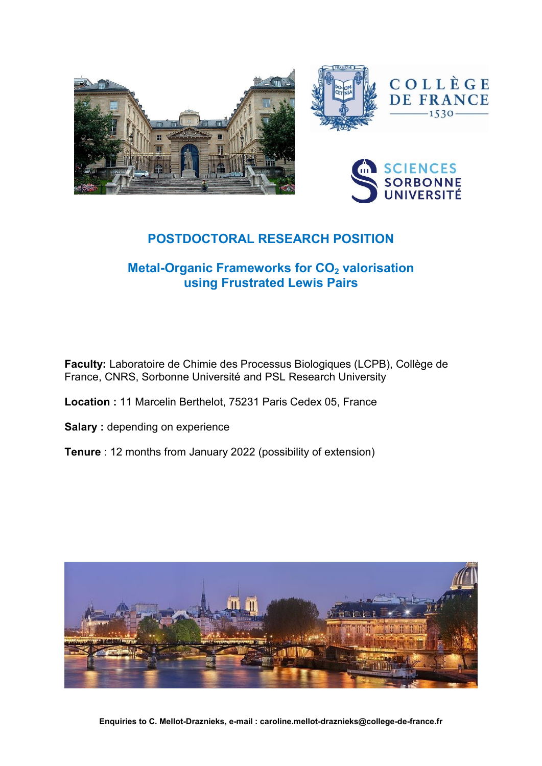





# **POSTDOCTORAL RESEARCH POSITION**

## **Metal-Organic Frameworks for CO<sup>2</sup> valorisation using Frustrated Lewis Pairs**

**Faculty:** Laboratoire de Chimie des Processus Biologiques (LCPB), Collège de France, CNRS, Sorbonne Université and PSL Research University

- **Location :** 11 Marcelin Berthelot, 75231 Paris Cedex 05, France
- **Salary** : depending on experience
- **Tenure** : 12 months from January 2022 (possibility of extension)

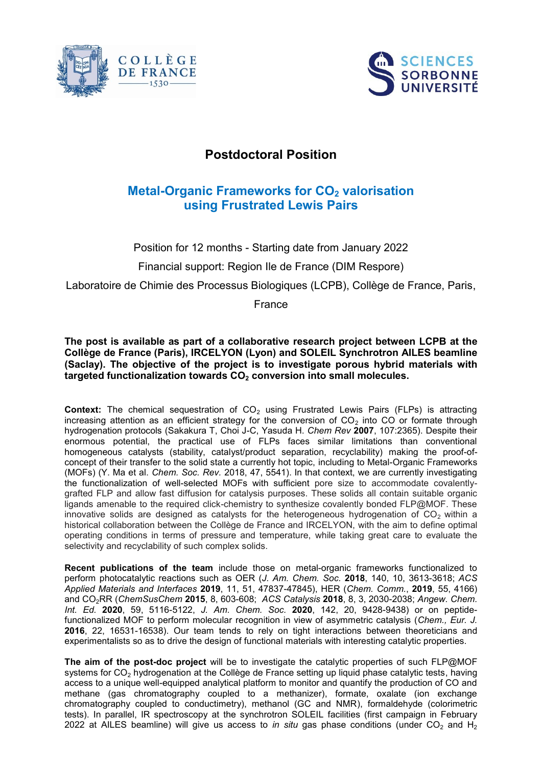



### **Postdoctoral Position**

### **Metal-Organic Frameworks for CO<sup>2</sup> valorisation using Frustrated Lewis Pairs**

Position for 12 months - Starting date from January 2022

Financial support: Region Ile de France (DIM Respore)

Laboratoire de Chimie des Processus Biologiques (LCPB), Collège de France, Paris,

France

**The post is available as part of a collaborative research project between LCPB at the Collège de France (Paris), IRCELYON (Lyon) and SOLEIL Synchrotron AILES beamline (Saclay). The objective of the project is to investigate porous hybrid materials with targeted functionalization towards CO<sup>2</sup> conversion into small molecules.**

**Context:** The chemical sequestration of CO<sub>2</sub> using Frustrated Lewis Pairs (FLPs) is attracting increasing attention as an efficient strategy for the conversion of  $CO<sub>2</sub>$  into CO or formate through hydrogenation protocols (Sakakura T, Choi J-C, Yasuda H. *Chem Rev* **2007**, 107:2365). Despite their enormous potential, the practical use of FLPs faces similar limitations than conventional homogeneous catalysts (stability, catalyst/product separation, recyclability) making the proof-ofconcept of their transfer to the solid state a currently hot topic, including to Metal-Organic Frameworks (MOFs) (Y. Ma et al. *Chem. Soc. Rev.* 2018, 47, 5541). In that context, we are currently investigating the functionalization of well-selected MOFs with sufficient pore size to accommodate covalentlygrafted FLP and allow fast diffusion for catalysis purposes. These solids all contain suitable organic ligands amenable to the required click-chemistry to synthesize covalently bonded FLP@MOF. These innovative solids are designed as catalysts for the heterogeneous hydrogenation of  $CO<sub>2</sub>$  within a historical collaboration between the Collège de France and IRCELYON, with the aim to define optimal operating conditions in terms of pressure and temperature, while taking great care to evaluate the selectivity and recyclability of such complex solids.

**Recent publications of the team** include those on metal-organic frameworks functionalized to perform photocatalytic reactions such as OER (*J. Am. Chem. Soc.* **2018**, 140, 10, 3613-3618; *ACS Applied Materials and Interfaces* **2019**, 11, 51, 47837-47845), HER (*Chem. Comm.*, **2019**, 55, 4166) and CO2RR (*ChemSusChem* **2015**, 8, 603-608; *ACS Catalysis* **2018**, 8, 3, 2030-2038; *Angew. Chem. Int. Ed.* **2020**, 59, 5116-5122, *J. Am. Chem. Soc.* **2020**, 142, 20, 9428-9438) or on peptidefunctionalized MOF to perform molecular recognition in view of asymmetric catalysis (*Chem., Eur. J.* **2016**, 22, 16531-16538). Our team tends to rely on tight interactions between theoreticians and experimentalists so as to drive the design of functional materials with interesting catalytic properties.

**The aim of the post-doc project** will be to investigate the catalytic properties of such FLP@MOF systems for CO<sub>2</sub> hydrogenation at the Collège de France setting up liquid phase catalytic tests, having access to a unique well-equipped analytical platform to monitor and quantify the production of CO and methane (gas chromatography coupled to a methanizer), formate, oxalate (ion exchange chromatography coupled to conductimetry), methanol (GC and NMR), formaldehyde (colorimetric tests). In parallel, IR spectroscopy at the synchrotron SOLEIL facilities (first campaign in February 2022 at AILES beamline) will give us access to *in situ* gas phase conditions (under CO<sub>2</sub> and H<sub>2</sub>